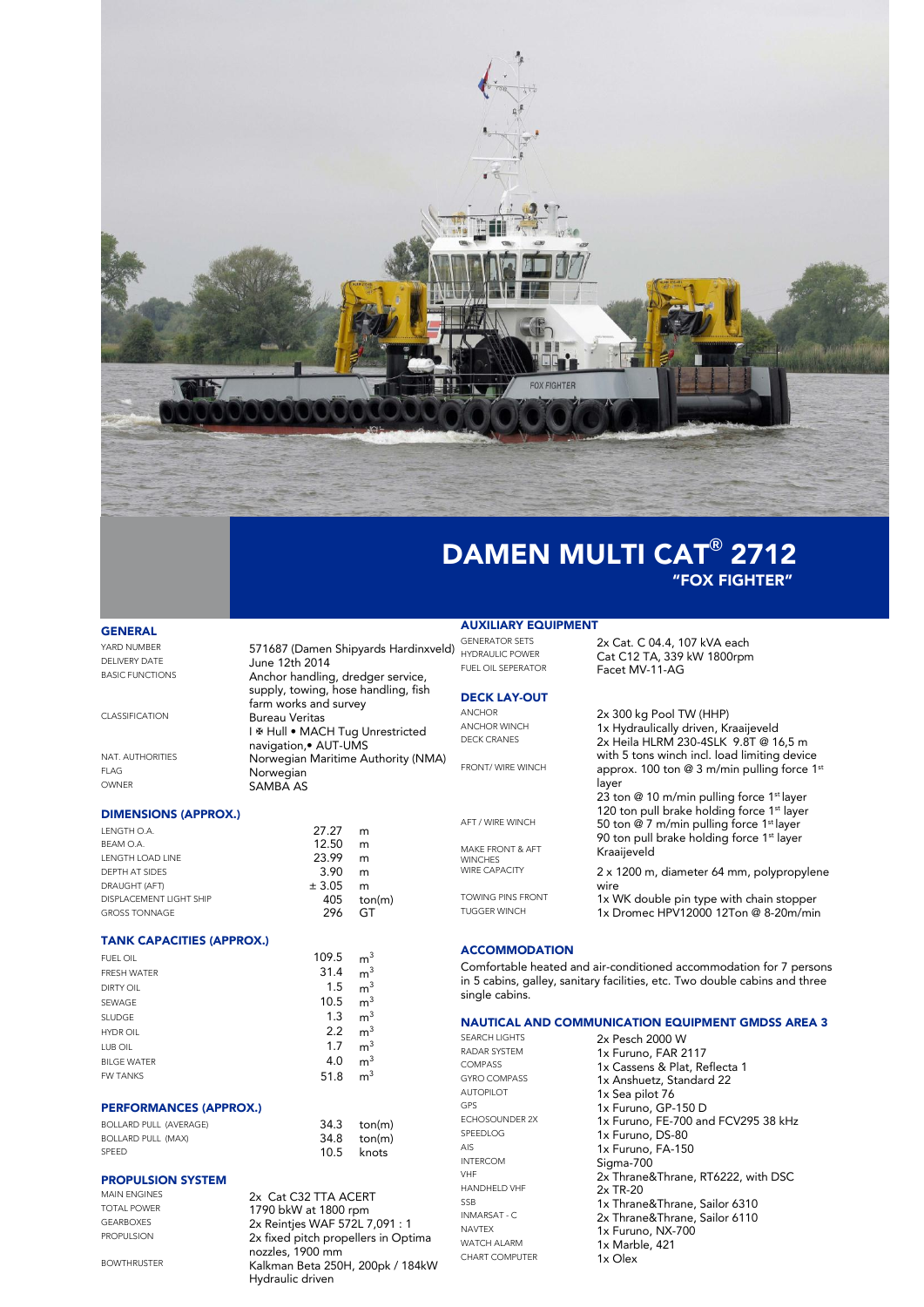

# DAMEN MULTI CAT**®** 2712 "FOX FIGHTER"

Facet MV-11-AG

layer

wire

Kraaijeveld

2x Heila HLRM 230-4SLK 9.8T @ 16,5 m with 5 tons winch incl. load limiting device

23 ton @ 10 m/min pulling force 1st layer 120 ton pull brake holding force 1<sup>st</sup> layer

90 ton pull brake holding force 1<sup>st</sup> layer

2 x 1200 m, diameter 64 mm, polypropylene

1x Dromec HPV12000 12Ton @ 8-20m/min

### **GENERAL**

| YARD NUMBER            | 571687 (Damen Shipyards Hardinxveld) | ULL'<br><b>HYD</b> |
|------------------------|--------------------------------------|--------------------|
| <b>DELIVERY DATE</b>   | June 12th 2014                       | <b>FUE</b>         |
| <b>BASIC FUNCTIONS</b> | Anchor handling, dredger service,    |                    |
|                        | supply, towing, hose handling, fish  | DE                 |
|                        | farm works and survey                |                    |
| CLASSIFICATION         | Bureau Veritas                       | AN <sub>C</sub>    |
|                        | I ※ Hull • MACH Tug Unrestricted     | AN <sub>C</sub>    |
|                        | navigation, • AUT-UMS                | <b>DEC</b>         |
| NAT. AUTHORITIES       | Norwegian Maritime Authority (NMA)   |                    |
| <b>FLAG</b>            | Norwegian                            | <b>FRC</b>         |
| OWNER                  | <b>SAMBA AS</b>                      |                    |
|                        |                                      |                    |
|                        |                                      |                    |

## DIMENSIONS (APPROX.)

| LENGTH O.A.              | 27.27  | m      |
|--------------------------|--------|--------|
| BEAM O.A.                | 12.50  | m      |
| <b>I FNGTH LOAD LINE</b> | 23.99  | m      |
| DEPTH AT SIDES           | 3.90   | m      |
| DRAUGHT (AFT)            | ± 3.05 | m      |
| DISPLACEMENT LIGHT SHIP  | 405    | ton(m) |
| <b>GROSS TONNAGE</b>     | 296    | GI     |

## TANK CAPACITIES (APPROX.)

| <b>FUEL OIL</b>    | 109.5 | m <sup>3</sup> |  |
|--------------------|-------|----------------|--|
| <b>FRESH WATER</b> | 31.4  | m <sup>3</sup> |  |
| <b>DIRTY OIL</b>   | 1.5   | m <sup>3</sup> |  |
| SEWAGE             | 10.5  | m <sup>3</sup> |  |
| <b>SLUDGE</b>      | 1.3   | m <sup>3</sup> |  |
| <b>HYDR OIL</b>    | 2.2   | m <sup>3</sup> |  |
| LUB OIL            | 1.7   | m <sup>3</sup> |  |
| <b>BILGE WATER</b> | 4.0   | m <sup>3</sup> |  |
| <b>FW TANKS</b>    | 51.8  | m <sup>3</sup> |  |

### PERFORMANCES (APPROX.)

| <b>BOLLARD PULL (AVERAGE)</b> | 34.3 ton(m) |  |
|-------------------------------|-------------|--|
| <b>BOLLARD PULL (MAX)</b>     | 34.8 ton(m) |  |
| <b>SPFFD</b>                  | 10.5 knots  |  |

# **PROPULSION SYSTEM**<br>MAIN ENGINES

**BOWTHRUSTER** 

MAIN ENGINES 2x Cat C32 TTA ACERT<br>TOTAL POWER 1790 bkW at 1800 rpm TOTAL POWER<br>
GEARROXES
1790 bkW at 1800 rpm GEARBOXES 2x Reintjes WAF 572L 7,091 : 1<br>PROPULSION 2x fixed pitch propellers in Opt 2x fixed pitch propellers in Optima nozzles, 1900 mm BOWTHRUSTER Kalkman Beta 250H, 200pk / 184kW Hydraulic driven

# **AUXILIARY EQUIPMENT**<br>GENERATOR SETS

VERATOR SETS 2x Cat. C 04.4, 107 kVA each<br>PRAULIC POWER Cat C 12 TA 339 kW 1800rpm SRAULIC POWER<br>FLOIL SEPERATOR **Cat C12 TA, 339 kW 1800rpm** 

### **CK LAY-OUT**

CHOR<br>CHOR WINCH **2x 300 kg Pool TW (HHP)**<br>1y Hydraulically driven Ki د Hor winch 1x Hydraulically driven, Kraaijeveld<br>٢ - 2x Heila HLRM 230-4SLK 9.8T هـ

 $F_{\text{MRT}}$  with 5 tons when their local limiting device approx. 100 ton @ 3 m/min pulling force 1st

AFT / WIRE WINCH 50 ton @ 7 m/min pulling force 1<sup>st</sup> layer

MAKE FRONT & AFT WINCHES<br>WIRE CAPACITY

TOWING PINS FRONT<br>TUGGER WINCH<br>1x Dromec HPV12000 12Ton @ 8-20m/mir

## **ACCOMMODATION**

Comfortable heated and air-conditioned accommodation for 7 persons in 5 cabins, galley, sanitary facilities, etc. Two double cabins and three single cabins.

# **NAUTICAL AND COMMUNICATION EQUIPMENT GMDSS AREA 3**<br>SEARCH LIGHTS **2x Pasch 2000 W**

SEARCH LIGHTS 2x Pesch 2000 W AUTOPILOT 1x Sea pilot 76 INTERCOM Sigma-700 HANDHELD VHF 2x TR-20 CHART COMPUTER

RADAR SYSTEM 1x Furuno, FAR 2117<br>COMPASS 1x Cassens & Plat Re COMPASS 1x Cassens & Plat, Reflecta 1<br>
GYRO COMPASS 1x Anshuatz Standard 22 GYRO COMPASS 1x Anshuetz, Standard 22<br>AUTOPILOT 1x Sea pilot 76 GPS<br>
GEHOSOUNDER 2X<br>
1x Furuno, FF-700 an ECHOSOUNDER 2X 1x Furuno, FE-700 and FCV295 38 kHz<br>SPEEDLOG 1x Furuno, DS-80 SPEEDLOG 1x Furuno, DS-80<br>Als 1x Furuno, FA-150 AIS 1x Furuno, FA-150<br>
INTERCOM Sigma-700 VHF 2x Thrane&Thrane, RT6222, with DSC<br>
2y TR-20 SSB 1x Thrane&Thrane, Sailor 6310<br>
INMARSAT - C 2x Thrane&Thrane Sailor 6110 INMARSAT - C 2x Thrane&Thrane, Sailor 6110<br>
NAVTEX 12 Furupo NIX 700 NAVTEX 1x Furuno, NX-700<br>WATCH ALARM 1x Marble 121 1x Marble, 421<br>1x Olex